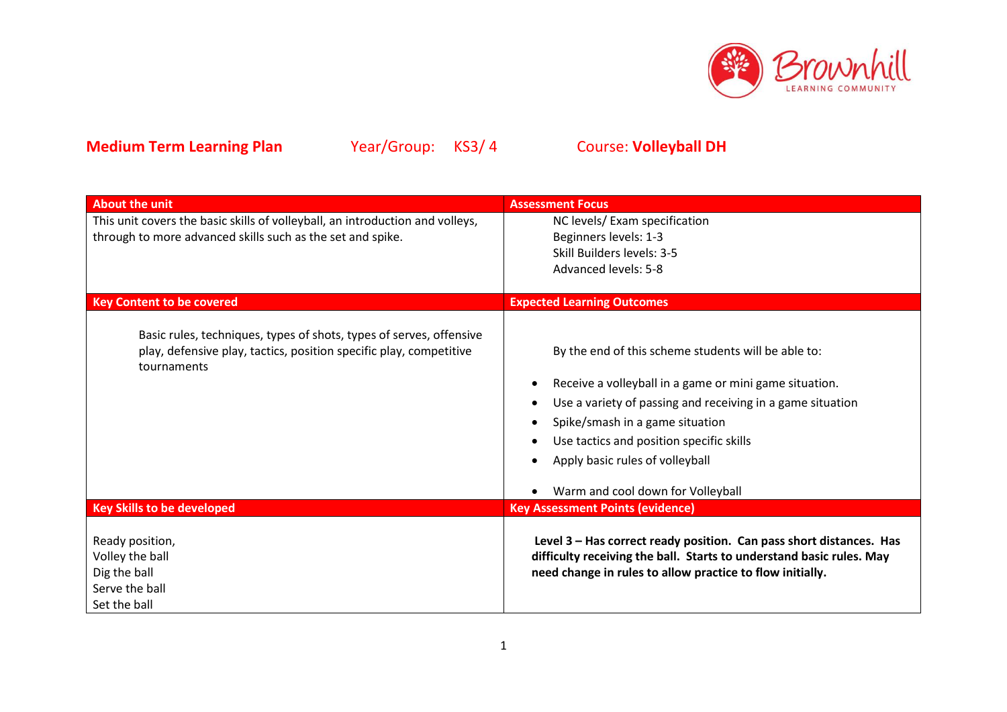

| <b>About the unit</b>                                                                                                                                    | <b>Assessment Focus</b>                                                                                                                                                                                                                                                                                                            |
|----------------------------------------------------------------------------------------------------------------------------------------------------------|------------------------------------------------------------------------------------------------------------------------------------------------------------------------------------------------------------------------------------------------------------------------------------------------------------------------------------|
| This unit covers the basic skills of volleyball, an introduction and volleys,                                                                            | NC levels/ Exam specification                                                                                                                                                                                                                                                                                                      |
| through to more advanced skills such as the set and spike.                                                                                               | Beginners levels: 1-3                                                                                                                                                                                                                                                                                                              |
|                                                                                                                                                          | Skill Builders levels: 3-5                                                                                                                                                                                                                                                                                                         |
|                                                                                                                                                          | <b>Advanced levels: 5-8</b>                                                                                                                                                                                                                                                                                                        |
|                                                                                                                                                          |                                                                                                                                                                                                                                                                                                                                    |
| <b>Key Content to be covered</b>                                                                                                                         | <b>Expected Learning Outcomes</b>                                                                                                                                                                                                                                                                                                  |
| Basic rules, techniques, types of shots, types of serves, offensive<br>play, defensive play, tactics, position specific play, competitive<br>tournaments | By the end of this scheme students will be able to:<br>Receive a volleyball in a game or mini game situation.<br>Use a variety of passing and receiving in a game situation<br>Spike/smash in a game situation<br>Use tactics and position specific skills<br>Apply basic rules of volleyball<br>Warm and cool down for Volleyball |
| <b>Key Skills to be developed</b>                                                                                                                        | <b>Key Assessment Points (evidence)</b>                                                                                                                                                                                                                                                                                            |
| Ready position,<br>Volley the ball<br>Dig the ball<br>Serve the ball<br>Set the ball                                                                     | Level 3 - Has correct ready position. Can pass short distances. Has<br>difficulty receiving the ball. Starts to understand basic rules. May<br>need change in rules to allow practice to flow initially.                                                                                                                           |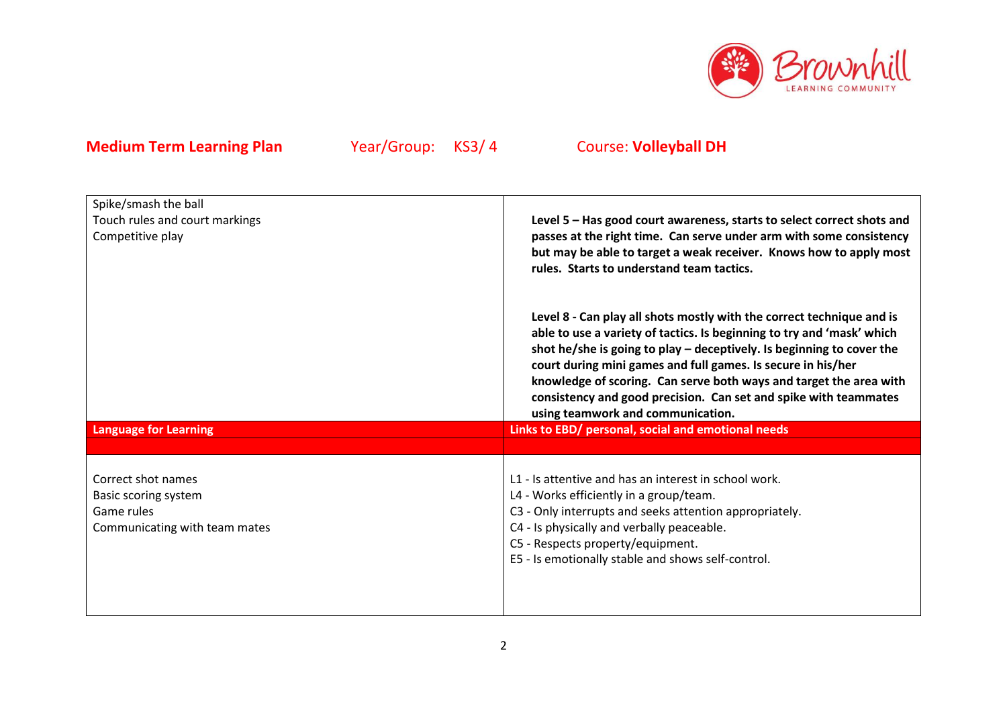

| Spike/smash the ball                                                                      |                                                                                                                                                                                                                                                                                                                                                                                                                                                                           |
|-------------------------------------------------------------------------------------------|---------------------------------------------------------------------------------------------------------------------------------------------------------------------------------------------------------------------------------------------------------------------------------------------------------------------------------------------------------------------------------------------------------------------------------------------------------------------------|
| Touch rules and court markings<br>Competitive play                                        | Level 5 - Has good court awareness, starts to select correct shots and<br>passes at the right time. Can serve under arm with some consistency<br>but may be able to target a weak receiver. Knows how to apply most<br>rules. Starts to understand team tactics.                                                                                                                                                                                                          |
|                                                                                           | Level 8 - Can play all shots mostly with the correct technique and is<br>able to use a variety of tactics. Is beginning to try and 'mask' which<br>shot he/she is going to play $-$ deceptively. Is beginning to cover the<br>court during mini games and full games. Is secure in his/her<br>knowledge of scoring. Can serve both ways and target the area with<br>consistency and good precision. Can set and spike with teammates<br>using teamwork and communication. |
| <b>Language for Learning</b>                                                              | Links to EBD/ personal, social and emotional needs                                                                                                                                                                                                                                                                                                                                                                                                                        |
|                                                                                           |                                                                                                                                                                                                                                                                                                                                                                                                                                                                           |
| Correct shot names<br>Basic scoring system<br>Game rules<br>Communicating with team mates | L1 - Is attentive and has an interest in school work.<br>L4 - Works efficiently in a group/team.<br>C3 - Only interrupts and seeks attention appropriately.<br>C4 - Is physically and verbally peaceable.<br>C5 - Respects property/equipment.<br>E5 - Is emotionally stable and shows self-control.                                                                                                                                                                      |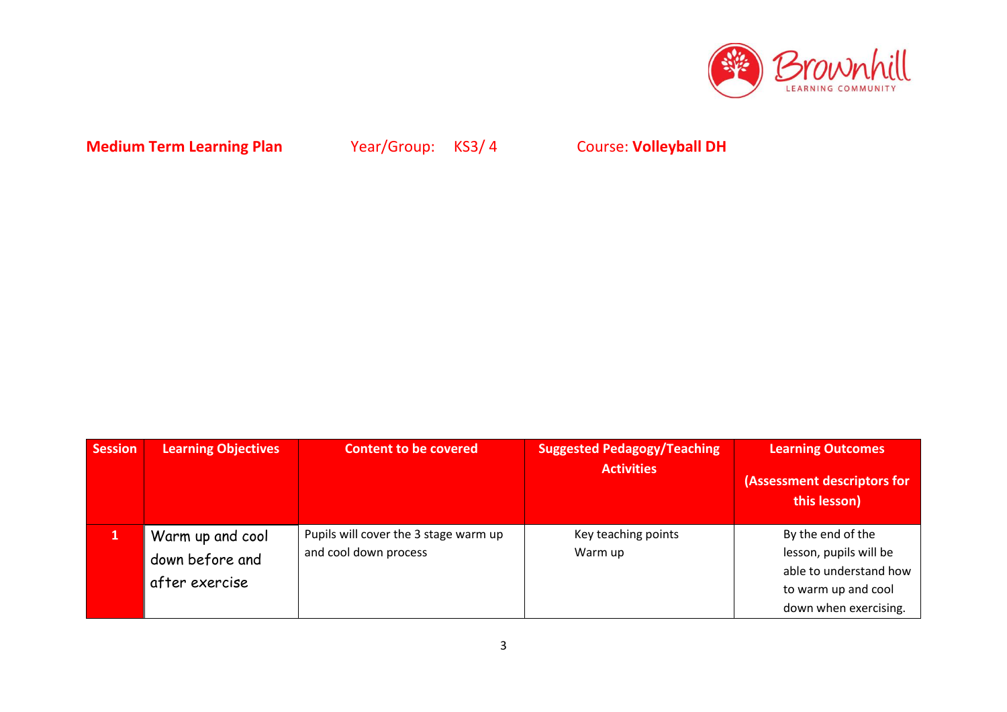

| <b>Session</b> | <b>Learning Objectives</b>                            | <b>Content to be covered</b>                                   | <b>Suggested Pedagogy/Teaching</b><br><b>Activities</b> | <b>Learning Outcomes</b><br>(Assessment descriptors for<br>this lesson)                                               |
|----------------|-------------------------------------------------------|----------------------------------------------------------------|---------------------------------------------------------|-----------------------------------------------------------------------------------------------------------------------|
|                | Warm up and cool<br>down before and<br>after exercise | Pupils will cover the 3 stage warm up<br>and cool down process | Key teaching points<br>Warm up                          | By the end of the<br>lesson, pupils will be<br>able to understand how<br>to warm up and cool<br>down when exercising. |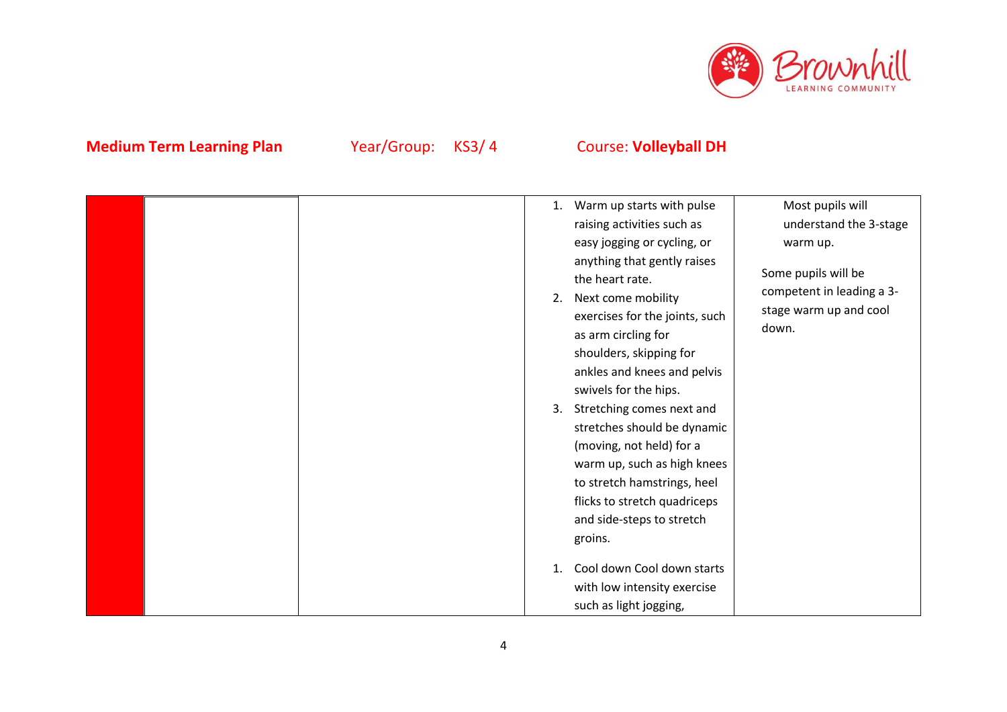

|  | 1.<br>2.<br>3. | Warm up starts with pulse<br>raising activities such as<br>easy jogging or cycling, or<br>anything that gently raises<br>the heart rate.<br>Next come mobility<br>exercises for the joints, such<br>as arm circling for<br>shoulders, skipping for<br>ankles and knees and pelvis<br>swivels for the hips.<br>Stretching comes next and<br>stretches should be dynamic<br>(moving, not held) for a<br>warm up, such as high knees<br>to stretch hamstrings, heel<br>flicks to stretch quadriceps<br>and side-steps to stretch<br>groins.<br>Cool down Cool down starts | Most pupils will<br>understand the 3-stage<br>warm up.<br>Some pupils will be<br>competent in leading a 3-<br>stage warm up and cool<br>down. |
|--|----------------|------------------------------------------------------------------------------------------------------------------------------------------------------------------------------------------------------------------------------------------------------------------------------------------------------------------------------------------------------------------------------------------------------------------------------------------------------------------------------------------------------------------------------------------------------------------------|-----------------------------------------------------------------------------------------------------------------------------------------------|
|  |                | with low intensity exercise                                                                                                                                                                                                                                                                                                                                                                                                                                                                                                                                            |                                                                                                                                               |
|  |                | such as light jogging,                                                                                                                                                                                                                                                                                                                                                                                                                                                                                                                                                 |                                                                                                                                               |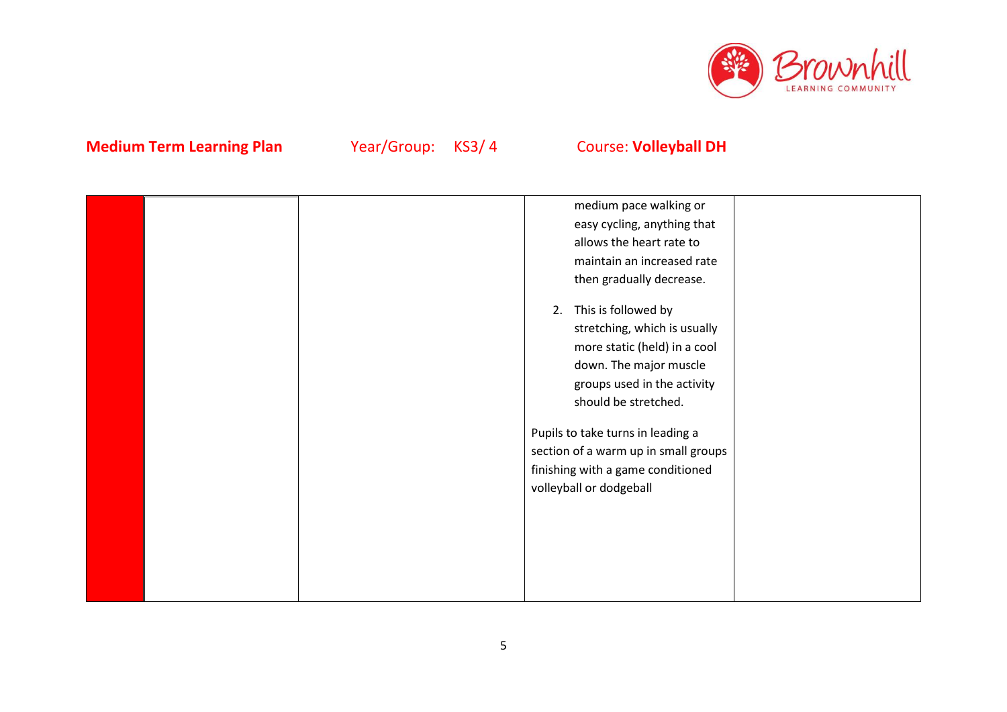

|  | medium pace walking or               |  |
|--|--------------------------------------|--|
|  | easy cycling, anything that          |  |
|  | allows the heart rate to             |  |
|  | maintain an increased rate           |  |
|  | then gradually decrease.             |  |
|  |                                      |  |
|  | This is followed by<br>2.            |  |
|  | stretching, which is usually         |  |
|  | more static (held) in a cool         |  |
|  | down. The major muscle               |  |
|  | groups used in the activity          |  |
|  | should be stretched.                 |  |
|  |                                      |  |
|  | Pupils to take turns in leading a    |  |
|  | section of a warm up in small groups |  |
|  | finishing with a game conditioned    |  |
|  | volleyball or dodgeball              |  |
|  |                                      |  |
|  |                                      |  |
|  |                                      |  |
|  |                                      |  |
|  |                                      |  |
|  |                                      |  |
|  |                                      |  |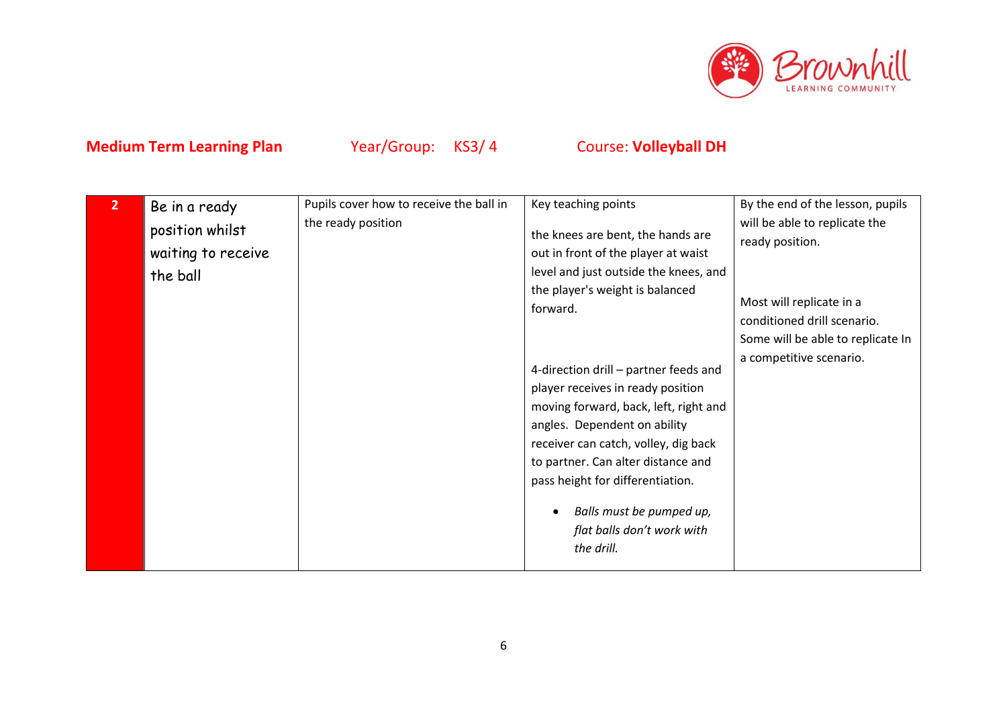

| 2 <sup>1</sup> | Be in a ready                                     | Pupils cover how to receive the ball in | Key teaching points                                                                                                                                                                                                                                                                                                     | By the end of the lesson, pupils                                                                                                                                            |
|----------------|---------------------------------------------------|-----------------------------------------|-------------------------------------------------------------------------------------------------------------------------------------------------------------------------------------------------------------------------------------------------------------------------------------------------------------------------|-----------------------------------------------------------------------------------------------------------------------------------------------------------------------------|
|                | position whilst<br>waiting to receive<br>the ball | the ready position                      | the knees are bent, the hands are<br>out in front of the player at waist<br>level and just outside the knees, and<br>the player's weight is balanced<br>forward.<br>4-direction drill - partner feeds and<br>player receives in ready position<br>moving forward, back, left, right and<br>angles. Dependent on ability | will be able to replicate the<br>ready position.<br>Most will replicate in a<br>conditioned drill scenario.<br>Some will be able to replicate In<br>a competitive scenario. |
|                |                                                   |                                         | receiver can catch, volley, dig back<br>to partner. Can alter distance and<br>pass height for differentiation.<br>Balls must be pumped up,<br>flat balls don't work with<br>the drill.                                                                                                                                  |                                                                                                                                                                             |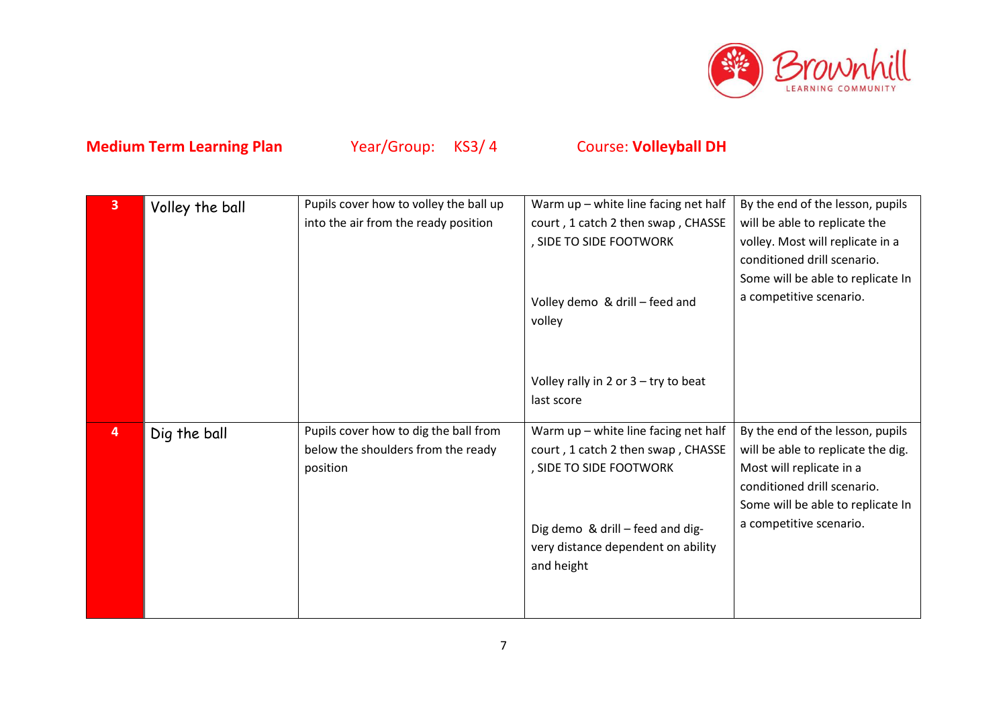

| $\overline{3}$ | Volley the ball | Pupils cover how to volley the ball up | Warm up - white line facing net half   | By the end of the lesson, pupils   |
|----------------|-----------------|----------------------------------------|----------------------------------------|------------------------------------|
|                |                 | into the air from the ready position   | court, 1 catch 2 then swap, CHASSE     | will be able to replicate the      |
|                |                 |                                        | , SIDE TO SIDE FOOTWORK                | volley. Most will replicate in a   |
|                |                 |                                        |                                        | conditioned drill scenario.        |
|                |                 |                                        |                                        | Some will be able to replicate In  |
|                |                 |                                        | Volley demo & drill - feed and         | a competitive scenario.            |
|                |                 |                                        | volley                                 |                                    |
|                |                 |                                        |                                        |                                    |
|                |                 |                                        |                                        |                                    |
|                |                 |                                        |                                        |                                    |
|                |                 |                                        | Volley rally in 2 or $3 - try$ to beat |                                    |
|                |                 |                                        | last score                             |                                    |
| 4              | Dig the ball    | Pupils cover how to dig the ball from  | Warm up - white line facing net half   | By the end of the lesson, pupils   |
|                |                 | below the shoulders from the ready     | court, 1 catch 2 then swap, CHASSE     | will be able to replicate the dig. |
|                |                 | position                               | , SIDE TO SIDE FOOTWORK                | Most will replicate in a           |
|                |                 |                                        |                                        |                                    |
|                |                 |                                        |                                        | conditioned drill scenario.        |
|                |                 |                                        |                                        | Some will be able to replicate In  |
|                |                 |                                        |                                        | a competitive scenario.            |
|                |                 |                                        | Dig demo & drill - feed and dig-       |                                    |
|                |                 |                                        | very distance dependent on ability     |                                    |
|                |                 |                                        | and height                             |                                    |
|                |                 |                                        |                                        |                                    |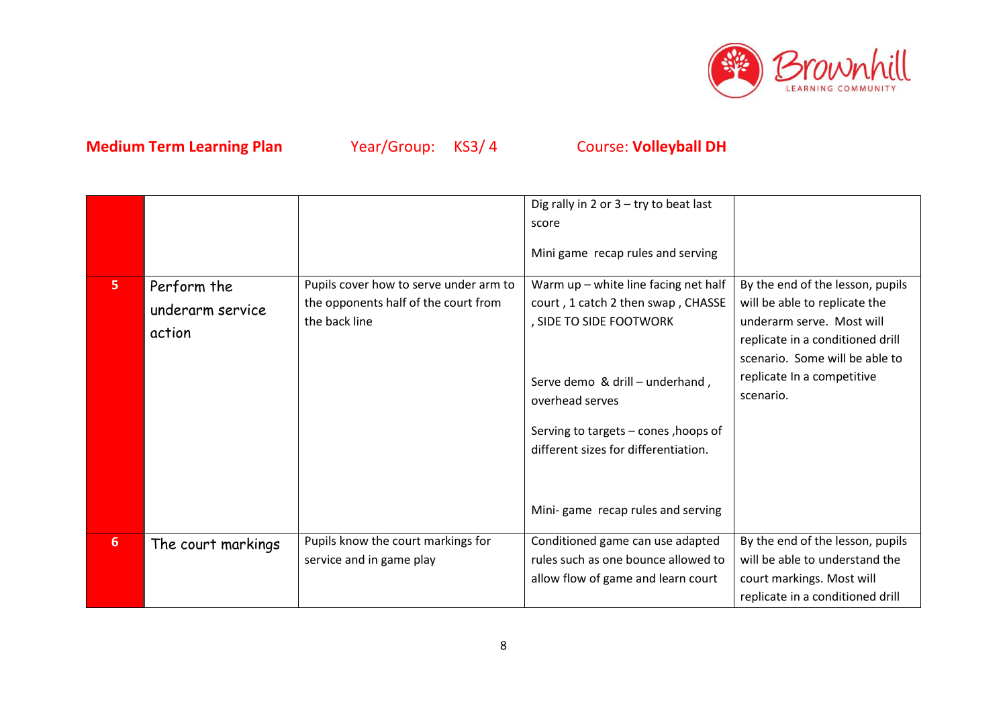

|                |                                           |                                                                                                 | Dig rally in 2 or $3 - try$ to beat last<br>score<br>Mini game recap rules and serving                                                                                                                                                                                           |                                                                                                                                                                                                                 |
|----------------|-------------------------------------------|-------------------------------------------------------------------------------------------------|----------------------------------------------------------------------------------------------------------------------------------------------------------------------------------------------------------------------------------------------------------------------------------|-----------------------------------------------------------------------------------------------------------------------------------------------------------------------------------------------------------------|
| 5 <sup>1</sup> | Perform the<br>underarm service<br>action | Pupils cover how to serve under arm to<br>the opponents half of the court from<br>the back line | Warm up - white line facing net half<br>court, 1 catch 2 then swap, CHASSE<br>, SIDE TO SIDE FOOTWORK<br>Serve demo & drill - underhand,<br>overhead serves<br>Serving to targets - cones, hoops of<br>different sizes for differentiation.<br>Mini-game recap rules and serving | By the end of the lesson, pupils<br>will be able to replicate the<br>underarm serve. Most will<br>replicate in a conditioned drill<br>scenario. Some will be able to<br>replicate In a competitive<br>scenario. |
| $6\phantom{1}$ | The court markings                        | Pupils know the court markings for<br>service and in game play                                  | Conditioned game can use adapted<br>rules such as one bounce allowed to<br>allow flow of game and learn court                                                                                                                                                                    | By the end of the lesson, pupils<br>will be able to understand the<br>court markings. Most will<br>replicate in a conditioned drill                                                                             |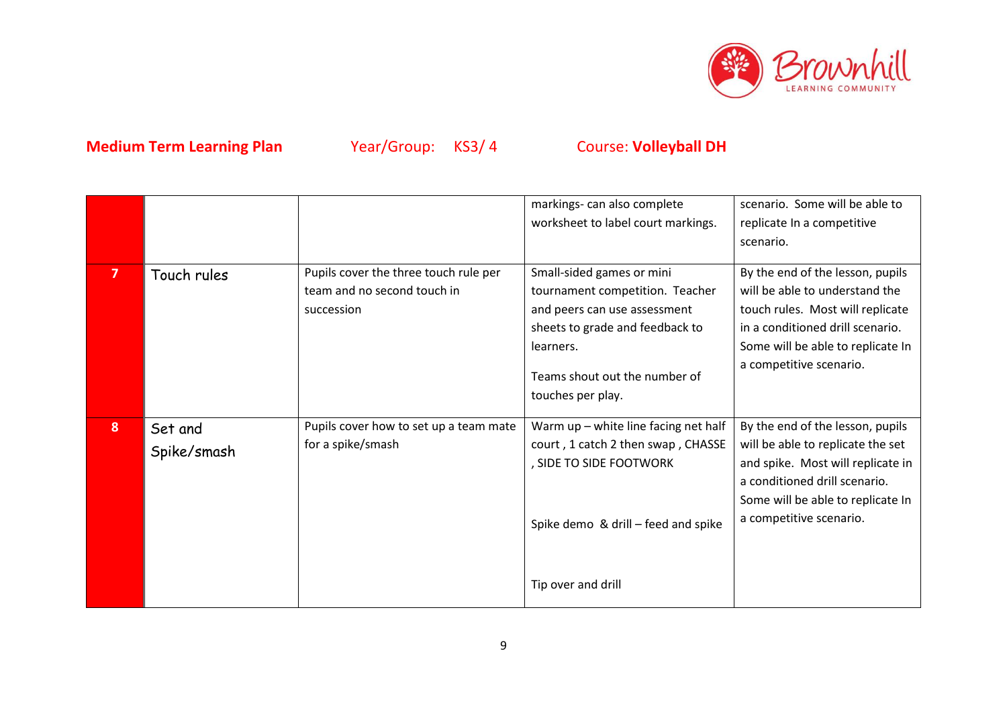

|                         |                        |                                                                                    | markings- can also complete<br>worksheet to label court markings.                                                                                                                                  | scenario. Some will be able to<br>replicate In a competitive<br>scenario.                                                                                                                                   |
|-------------------------|------------------------|------------------------------------------------------------------------------------|----------------------------------------------------------------------------------------------------------------------------------------------------------------------------------------------------|-------------------------------------------------------------------------------------------------------------------------------------------------------------------------------------------------------------|
| $\overline{\mathbf{z}}$ | Touch rules            | Pupils cover the three touch rule per<br>team and no second touch in<br>succession | Small-sided games or mini<br>tournament competition. Teacher<br>and peers can use assessment<br>sheets to grade and feedback to<br>learners.<br>Teams shout out the number of<br>touches per play. | By the end of the lesson, pupils<br>will be able to understand the<br>touch rules. Most will replicate<br>in a conditioned drill scenario.<br>Some will be able to replicate In<br>a competitive scenario.  |
| 8                       | Set and<br>Spike/smash | Pupils cover how to set up a team mate<br>for a spike/smash                        | Warm up - white line facing net half<br>court, 1 catch 2 then swap, CHASSE<br>, SIDE TO SIDE FOOTWORK<br>Spike demo & drill - feed and spike                                                       | By the end of the lesson, pupils<br>will be able to replicate the set<br>and spike. Most will replicate in<br>a conditioned drill scenario.<br>Some will be able to replicate In<br>a competitive scenario. |
|                         |                        |                                                                                    | Tip over and drill                                                                                                                                                                                 |                                                                                                                                                                                                             |